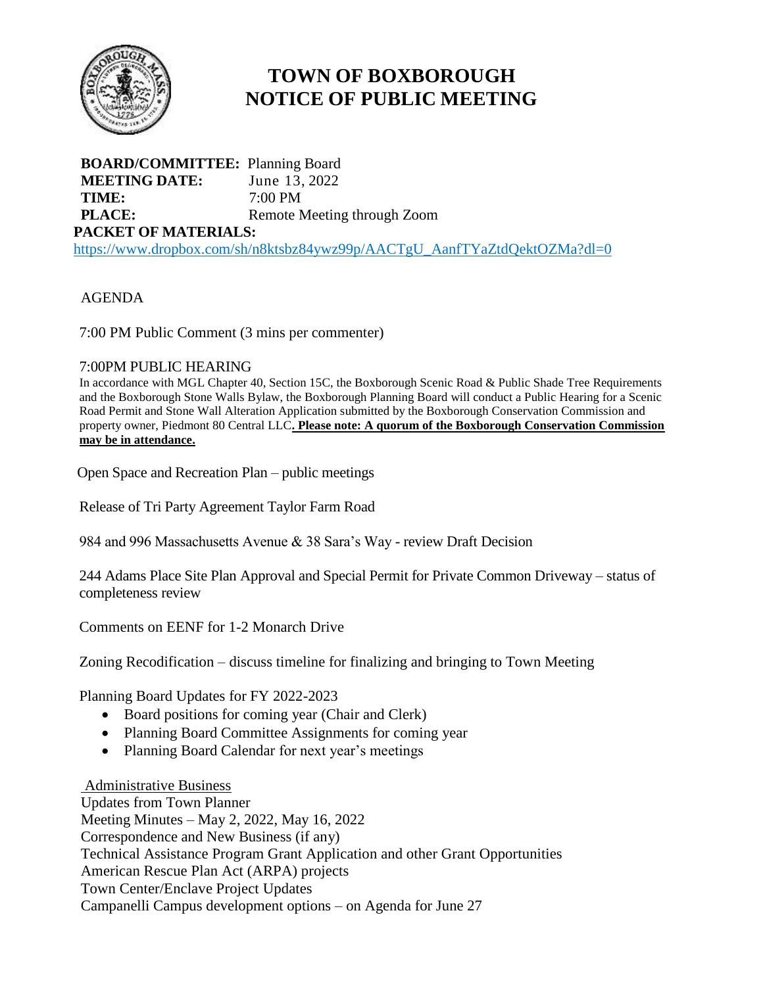

# **TOWN OF BOXBOROUGH NOTICE OF PUBLIC MEETING**

**BOARD/COMMITTEE:** Planning Board **MEETING DATE:** June 13, 2022 **TIME:** 7:00 PM **PLACE:** Remote Meeting through Zoom **PACKET OF MATERIALS:** [https://www.dropbox.com/sh/n8ktsbz84ywz99p/AACTgU\\_AanfTYaZtdQektOZMa?dl=0](https://www.dropbox.com/sh/n8ktsbz84ywz99p/AACTgU_AanfTYaZtdQektOZMa?dl=0)

## AGENDA

7:00 PM Public Comment (3 mins per commenter)

### 7:00PM PUBLIC HEARING

In accordance with MGL Chapter 40, Section 15C, the Boxborough Scenic Road & Public Shade Tree Requirements and the Boxborough Stone Walls Bylaw, the Boxborough Planning Board will conduct a Public Hearing for a Scenic Road Permit and Stone Wall Alteration Application submitted by the Boxborough Conservation Commission and property owner, Piedmont 80 Central LLC**. Please note: A quorum of the Boxborough Conservation Commission may be in attendance.**

Open Space and Recreation Plan – public meetings

Release of Tri Party Agreement Taylor Farm Road

984 and 996 Massachusetts Avenue & 38 Sara's Way - review Draft Decision

244 Adams Place Site Plan Approval and Special Permit for Private Common Driveway – status of completeness review

Comments on EENF for 1-2 Monarch Drive

Zoning Recodification – discuss timeline for finalizing and bringing to Town Meeting

Planning Board Updates for FY 2022-2023

- Board positions for coming year (Chair and Clerk)
- Planning Board Committee Assignments for coming year
- Planning Board Calendar for next year's meetings

#### Administrative Business

Updates from Town Planner Meeting Minutes – May 2, 2022, May 16, 2022 Correspondence and New Business (if any) Technical Assistance Program Grant Application and other Grant Opportunities American Rescue Plan Act (ARPA) projects Town Center/Enclave Project Updates Campanelli Campus development options – on Agenda for June 27